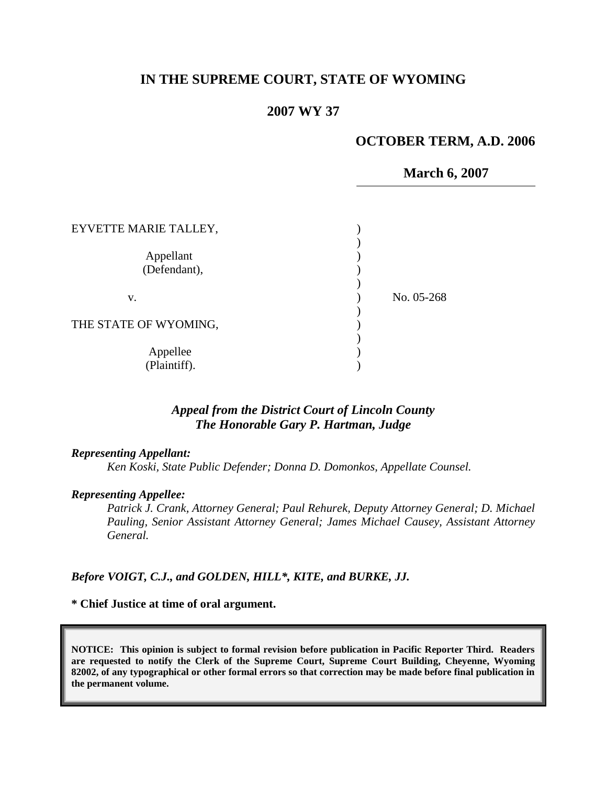# **IN THE SUPREME COURT, STATE OF WYOMING**

### **2007 WY 37**

### **OCTOBER TERM, A.D. 2006**

**March 6, 2007**

| EYVETTE MARIE TALLEY,     |            |
|---------------------------|------------|
| Appellant<br>(Defendant), |            |
| V.                        | No. 05-268 |
| THE STATE OF WYOMING,     |            |
| Appellee<br>(Plaintiff).  |            |

## *Appeal from the District Court of Lincoln County The Honorable Gary P. Hartman, Judge*

#### *Representing Appellant:*

*Ken Koski, State Public Defender; Donna D. Domonkos, Appellate Counsel.*

#### *Representing Appellee:*

*Patrick J. Crank, Attorney General; Paul Rehurek, Deputy Attorney General; D. Michael Pauling, Senior Assistant Attorney General; James Michael Causey, Assistant Attorney General.*

#### *Before VOIGT, C.J., and GOLDEN, HILL\*, KITE, and BURKE, JJ.*

#### **\* Chief Justice at time of oral argument.**

**NOTICE: This opinion is subject to formal revision before publication in Pacific Reporter Third. Readers are requested to notify the Clerk of the Supreme Court, Supreme Court Building, Cheyenne, Wyoming 82002, of any typographical or other formal errors so that correction may be made before final publication in the permanent volume.**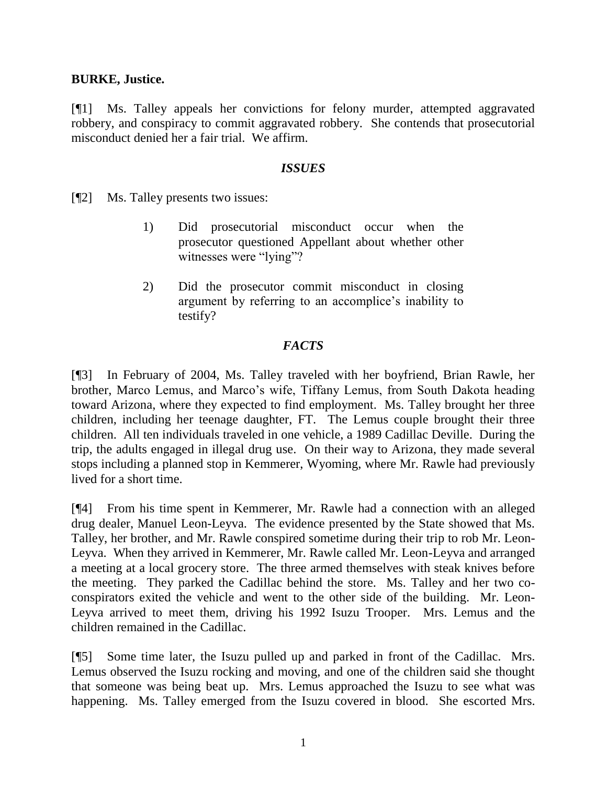### **BURKE, Justice.**

[¶1] Ms. Talley appeals her convictions for felony murder, attempted aggravated robbery, and conspiracy to commit aggravated robbery. She contends that prosecutorial misconduct denied her a fair trial. We affirm.

### *ISSUES*

[¶2] Ms. Talley presents two issues:

- 1) Did prosecutorial misconduct occur when the prosecutor questioned Appellant about whether other witnesses were "lying"?
- 2) Did the prosecutor commit misconduct in closing argument by referring to an accomplice's inability to testify?

# *FACTS*

[¶3] In February of 2004, Ms. Talley traveled with her boyfriend, Brian Rawle, her brother, Marco Lemus, and Marco's wife, Tiffany Lemus, from South Dakota heading toward Arizona, where they expected to find employment. Ms. Talley brought her three children, including her teenage daughter, FT. The Lemus couple brought their three children. All ten individuals traveled in one vehicle, a 1989 Cadillac Deville. During the trip, the adults engaged in illegal drug use. On their way to Arizona, they made several stops including a planned stop in Kemmerer, Wyoming, where Mr. Rawle had previously lived for a short time.

[¶4] From his time spent in Kemmerer, Mr. Rawle had a connection with an alleged drug dealer, Manuel Leon-Leyva. The evidence presented by the State showed that Ms. Talley, her brother, and Mr. Rawle conspired sometime during their trip to rob Mr. Leon-Leyva. When they arrived in Kemmerer, Mr. Rawle called Mr. Leon-Leyva and arranged a meeting at a local grocery store. The three armed themselves with steak knives before the meeting. They parked the Cadillac behind the store. Ms. Talley and her two coconspirators exited the vehicle and went to the other side of the building. Mr. Leon-Leyva arrived to meet them, driving his 1992 Isuzu Trooper. Mrs. Lemus and the children remained in the Cadillac.

[¶5] Some time later, the Isuzu pulled up and parked in front of the Cadillac. Mrs. Lemus observed the Isuzu rocking and moving, and one of the children said she thought that someone was being beat up. Mrs. Lemus approached the Isuzu to see what was happening. Ms. Talley emerged from the Isuzu covered in blood. She escorted Mrs.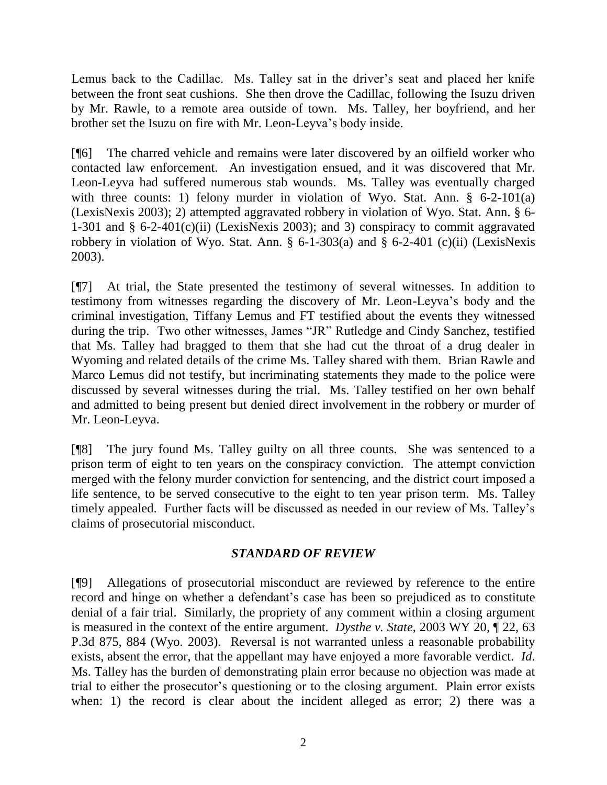Lemus back to the Cadillac. Ms. Talley sat in the driver's seat and placed her knife between the front seat cushions. She then drove the Cadillac, following the Isuzu driven by Mr. Rawle, to a remote area outside of town. Ms. Talley, her boyfriend, and her brother set the Isuzu on fire with Mr. Leon-Leyva's body inside.

[¶6] The charred vehicle and remains were later discovered by an oilfield worker who contacted law enforcement. An investigation ensued, and it was discovered that Mr. Leon-Leyva had suffered numerous stab wounds. Ms. Talley was eventually charged with three counts: 1) felony murder in violation of Wyo. Stat. Ann. § 6-2-101(a) (LexisNexis 2003); 2) attempted aggravated robbery in violation of Wyo. Stat. Ann. § 6- 1-301 and  $\S$  6-2-401(c)(ii) (LexisNexis 2003); and 3) conspiracy to commit aggravated robbery in violation of Wyo. Stat. Ann.  $\S$  6-1-303(a) and  $\S$  6-2-401 (c)(ii) (LexisNexis 2003).

[¶7] At trial, the State presented the testimony of several witnesses. In addition to testimony from witnesses regarding the discovery of Mr. Leon-Leyva's body and the criminal investigation, Tiffany Lemus and FT testified about the events they witnessed during the trip. Two other witnesses, James "JR" Rutledge and Cindy Sanchez, testified that Ms. Talley had bragged to them that she had cut the throat of a drug dealer in Wyoming and related details of the crime Ms. Talley shared with them. Brian Rawle and Marco Lemus did not testify, but incriminating statements they made to the police were discussed by several witnesses during the trial. Ms. Talley testified on her own behalf and admitted to being present but denied direct involvement in the robbery or murder of Mr. Leon-Leyva.

[¶8] The jury found Ms. Talley guilty on all three counts. She was sentenced to a prison term of eight to ten years on the conspiracy conviction. The attempt conviction merged with the felony murder conviction for sentencing, and the district court imposed a life sentence, to be served consecutive to the eight to ten year prison term. Ms. Talley timely appealed. Further facts will be discussed as needed in our review of Ms. Talley's claims of prosecutorial misconduct.

# *STANDARD OF REVIEW*

[¶9] Allegations of prosecutorial misconduct are reviewed by reference to the entire record and hinge on whether a defendant's case has been so prejudiced as to constitute denial of a fair trial. Similarly, the propriety of any comment within a closing argument is measured in the context of the entire argument. *Dysthe v. State*, 2003 WY 20, ¶ 22, 63 P.3d 875, 884 (Wyo. 2003). Reversal is not warranted unless a reasonable probability exists, absent the error, that the appellant may have enjoyed a more favorable verdict. *Id*. Ms. Talley has the burden of demonstrating plain error because no objection was made at trial to either the prosecutor's questioning or to the closing argument. Plain error exists when: 1) the record is clear about the incident alleged as error; 2) there was a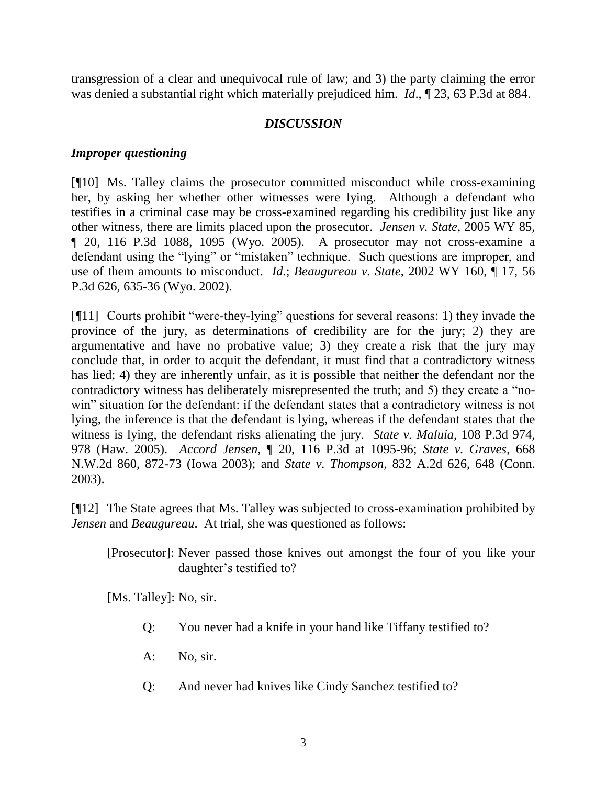transgression of a clear and unequivocal rule of law; and 3) the party claiming the error was denied a substantial right which materially prejudiced him. *Id*., ¶ 23, 63 P.3d at 884.

# *DISCUSSION*

## *Improper questioning*

[¶10] Ms. Talley claims the prosecutor committed misconduct while cross-examining her, by asking her whether other witnesses were lying. Although a defendant who testifies in a criminal case may be cross-examined regarding his credibility just like any other witness, there are limits placed upon the prosecutor. *Jensen v. State*, 2005 WY 85, ¶ 20, 116 P.3d 1088, 1095 (Wyo. 2005). A prosecutor may not cross-examine a defendant using the "lying" or "mistaken" technique. Such questions are improper, and use of them amounts to misconduct. *Id.*; *Beaugureau v. State*, 2002 WY 160, ¶ 17, 56 P.3d 626, 635-36 (Wyo. 2002).

[¶11] Courts prohibit "were-they-lying" questions for several reasons: 1) they invade the province of the jury, as determinations of credibility are for the jury; 2) they are argumentative and have no probative value; 3) they create a risk that the jury may conclude that, in order to acquit the defendant, it must find that a contradictory witness has lied; 4) they are inherently unfair, as it is possible that neither the defendant nor the contradictory witness has deliberately misrepresented the truth; and 5) they create a "nowin" situation for the defendant: if the defendant states that a contradictory witness is not lying, the inference is that the defendant is lying, whereas if the defendant states that the witness is lying, the defendant risks alienating the jury. *State v. Maluia*, 108 P.3d 974, 978 (Haw. 2005). *Accord Jensen*, ¶ 20, 116 P.3d at 1095-96; *State v. Graves*, 668 N.W.2d 860, 872-73 (Iowa 2003); and *State v. Thompson*, 832 A.2d 626, 648 (Conn. 2003).

[¶12] The State agrees that Ms. Talley was subjected to cross-examination prohibited by *Jensen* and *Beaugureau*. At trial, she was questioned as follows:

[Prosecutor]: Never passed those knives out amongst the four of you like your daughter's testified to?

[Ms. Talley]: No, sir.

- Q: You never had a knife in your hand like Tiffany testified to?
- A: No, sir.
- Q: And never had knives like Cindy Sanchez testified to?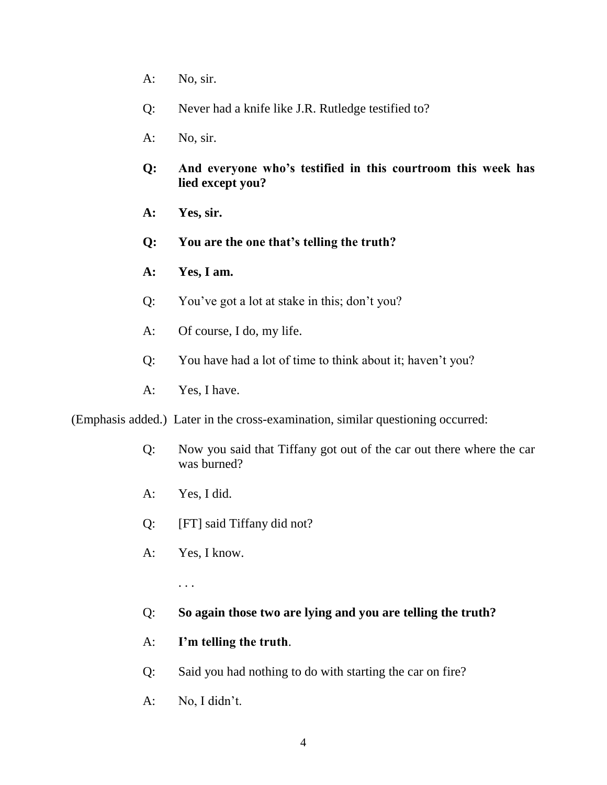- A: No, sir.
- Q: Never had a knife like J.R. Rutledge testified to?
- A: No, sir.
- **Q: And everyone who's testified in this courtroom this week has lied except you?**
- **A: Yes, sir.**
- **Q: You are the one that's telling the truth?**
- **A: Yes, I am.**
- Q: You've got a lot at stake in this; don't you?
- A: Of course, I do, my life.
- Q: You have had a lot of time to think about it; haven't you?
- A: Yes, I have.

(Emphasis added.) Later in the cross-examination, similar questioning occurred:

- Q: Now you said that Tiffany got out of the car out there where the car was burned?
- A: Yes, I did.
- Q: [FT] said Tiffany did not?
- A: Yes, I know.

. . .

- Q: **So again those two are lying and you are telling the truth?**
- A: **I'm telling the truth**.
- Q: Said you had nothing to do with starting the car on fire?
- A: No, I didn't.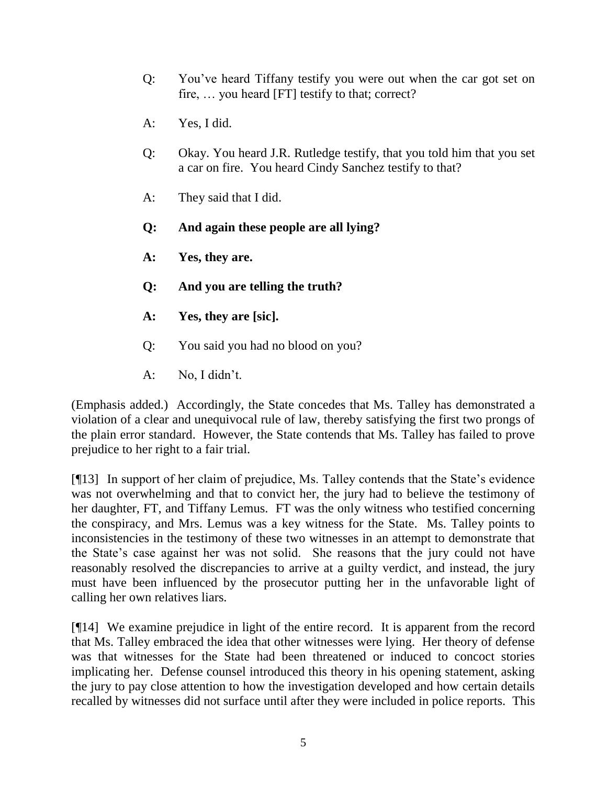- Q: You've heard Tiffany testify you were out when the car got set on fire, … you heard [FT] testify to that; correct?
- A: Yes, I did.
- Q: Okay. You heard J.R. Rutledge testify, that you told him that you set a car on fire. You heard Cindy Sanchez testify to that?
- A: They said that I did.
- **Q: And again these people are all lying?**
- **A: Yes, they are.**
- **Q: And you are telling the truth?**
- **A: Yes, they are [sic].**
- Q: You said you had no blood on you?
- A: No, I didn't.

(Emphasis added.) Accordingly, the State concedes that Ms. Talley has demonstrated a violation of a clear and unequivocal rule of law, thereby satisfying the first two prongs of the plain error standard. However, the State contends that Ms. Talley has failed to prove prejudice to her right to a fair trial.

[¶13] In support of her claim of prejudice, Ms. Talley contends that the State's evidence was not overwhelming and that to convict her, the jury had to believe the testimony of her daughter, FT, and Tiffany Lemus. FT was the only witness who testified concerning the conspiracy, and Mrs. Lemus was a key witness for the State. Ms. Talley points to inconsistencies in the testimony of these two witnesses in an attempt to demonstrate that the State's case against her was not solid. She reasons that the jury could not have reasonably resolved the discrepancies to arrive at a guilty verdict, and instead, the jury must have been influenced by the prosecutor putting her in the unfavorable light of calling her own relatives liars.

[¶14] We examine prejudice in light of the entire record. It is apparent from the record that Ms. Talley embraced the idea that other witnesses were lying. Her theory of defense was that witnesses for the State had been threatened or induced to concoct stories implicating her. Defense counsel introduced this theory in his opening statement, asking the jury to pay close attention to how the investigation developed and how certain details recalled by witnesses did not surface until after they were included in police reports. This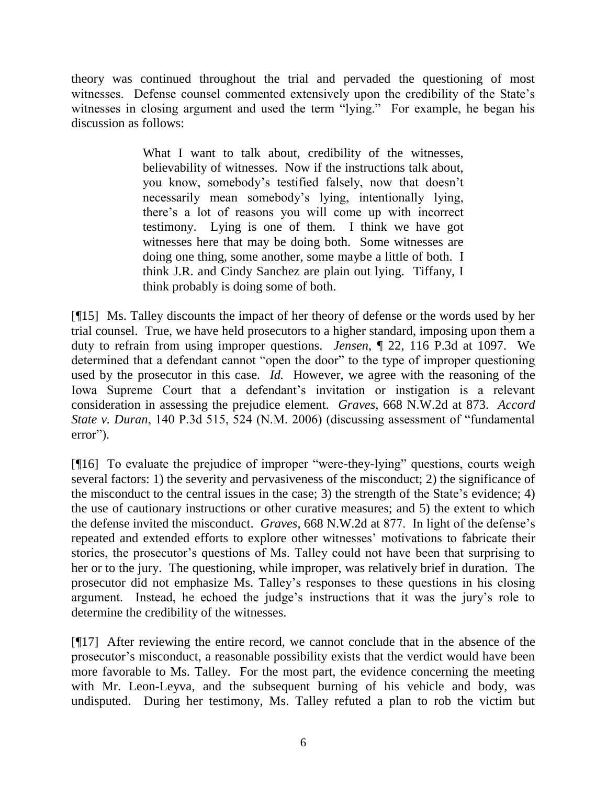theory was continued throughout the trial and pervaded the questioning of most witnesses. Defense counsel commented extensively upon the credibility of the State's witnesses in closing argument and used the term "lying." For example, he began his discussion as follows:

> What I want to talk about, credibility of the witnesses, believability of witnesses. Now if the instructions talk about, you know, somebody's testified falsely, now that doesn't necessarily mean somebody's lying, intentionally lying, there's a lot of reasons you will come up with incorrect testimony. Lying is one of them. I think we have got witnesses here that may be doing both. Some witnesses are doing one thing, some another, some maybe a little of both. I think J.R. and Cindy Sanchez are plain out lying. Tiffany, I think probably is doing some of both.

[¶15] Ms. Talley discounts the impact of her theory of defense or the words used by her trial counsel. True, we have held prosecutors to a higher standard, imposing upon them a duty to refrain from using improper questions. *Jensen*, ¶ 22, 116 P.3d at 1097. We determined that a defendant cannot "open the door" to the type of improper questioning used by the prosecutor in this case. *Id.* However, we agree with the reasoning of the Iowa Supreme Court that a defendant's invitation or instigation is a relevant consideration in assessing the prejudice element. *Graves*, 668 N.W.2d at 873. *Accord State v. Duran*, 140 P.3d 515, 524 (N.M. 2006) (discussing assessment of "fundamental error").

[¶16] To evaluate the prejudice of improper "were-they-lying" questions, courts weigh several factors: 1) the severity and pervasiveness of the misconduct; 2) the significance of the misconduct to the central issues in the case; 3) the strength of the State's evidence; 4) the use of cautionary instructions or other curative measures; and 5) the extent to which the defense invited the misconduct. *Graves*, 668 N.W.2d at 877. In light of the defense's repeated and extended efforts to explore other witnesses' motivations to fabricate their stories, the prosecutor's questions of Ms. Talley could not have been that surprising to her or to the jury. The questioning, while improper, was relatively brief in duration. The prosecutor did not emphasize Ms. Talley's responses to these questions in his closing argument. Instead, he echoed the judge's instructions that it was the jury's role to determine the credibility of the witnesses.

[¶17] After reviewing the entire record, we cannot conclude that in the absence of the prosecutor's misconduct, a reasonable possibility exists that the verdict would have been more favorable to Ms. Talley. For the most part, the evidence concerning the meeting with Mr. Leon-Leyva, and the subsequent burning of his vehicle and body, was undisputed. During her testimony, Ms. Talley refuted a plan to rob the victim but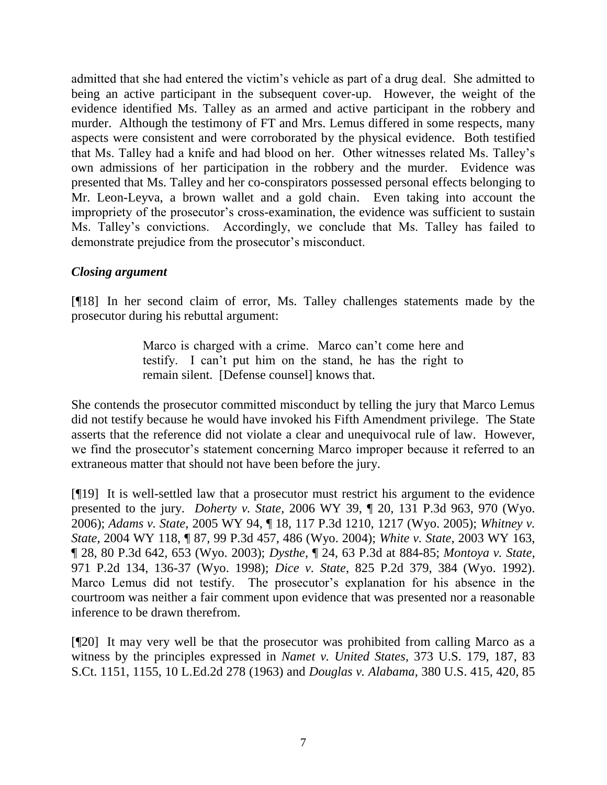admitted that she had entered the victim's vehicle as part of a drug deal. She admitted to being an active participant in the subsequent cover-up. However, the weight of the evidence identified Ms. Talley as an armed and active participant in the robbery and murder. Although the testimony of FT and Mrs. Lemus differed in some respects, many aspects were consistent and were corroborated by the physical evidence. Both testified that Ms. Talley had a knife and had blood on her. Other witnesses related Ms. Talley's own admissions of her participation in the robbery and the murder. Evidence was presented that Ms. Talley and her co-conspirators possessed personal effects belonging to Mr. Leon-Leyva, a brown wallet and a gold chain. Even taking into account the impropriety of the prosecutor's cross-examination, the evidence was sufficient to sustain Ms. Talley's convictions. Accordingly, we conclude that Ms. Talley has failed to demonstrate prejudice from the prosecutor's misconduct.

# *Closing argument*

[¶18] In her second claim of error, Ms. Talley challenges statements made by the prosecutor during his rebuttal argument:

> Marco is charged with a crime. Marco can't come here and testify. I can't put him on the stand, he has the right to remain silent. [Defense counsel] knows that.

She contends the prosecutor committed misconduct by telling the jury that Marco Lemus did not testify because he would have invoked his Fifth Amendment privilege. The State asserts that the reference did not violate a clear and unequivocal rule of law. However, we find the prosecutor's statement concerning Marco improper because it referred to an extraneous matter that should not have been before the jury.

[¶19] It is well-settled law that a prosecutor must restrict his argument to the evidence presented to the jury. *Doherty v. State*, 2006 WY 39, ¶ 20, 131 P.3d 963, 970 (Wyo. 2006); *Adams v. State*, 2005 WY 94, ¶ 18, 117 P.3d 1210, 1217 (Wyo. 2005); *Whitney v. State*, 2004 WY 118, ¶ 87, 99 P.3d 457, 486 (Wyo. 2004); *White v. State*, 2003 WY 163, ¶ 28, 80 P.3d 642, 653 (Wyo. 2003); *Dysthe*, ¶ 24, 63 P.3d at 884-85; *Montoya v. State*, 971 P.2d 134, 136-37 (Wyo. 1998); *Dice v. State*, 825 P.2d 379, 384 (Wyo. 1992). Marco Lemus did not testify. The prosecutor's explanation for his absence in the courtroom was neither a fair comment upon evidence that was presented nor a reasonable inference to be drawn therefrom.

[¶20] It may very well be that the prosecutor was prohibited from calling Marco as a witness by the principles expressed in *Namet v. United States*, 373 U.S. 179, 187, 83 S.Ct. 1151, 1155, 10 L.Ed.2d 278 (1963) and *Douglas v. Alabama*, 380 U.S. 415, 420, 85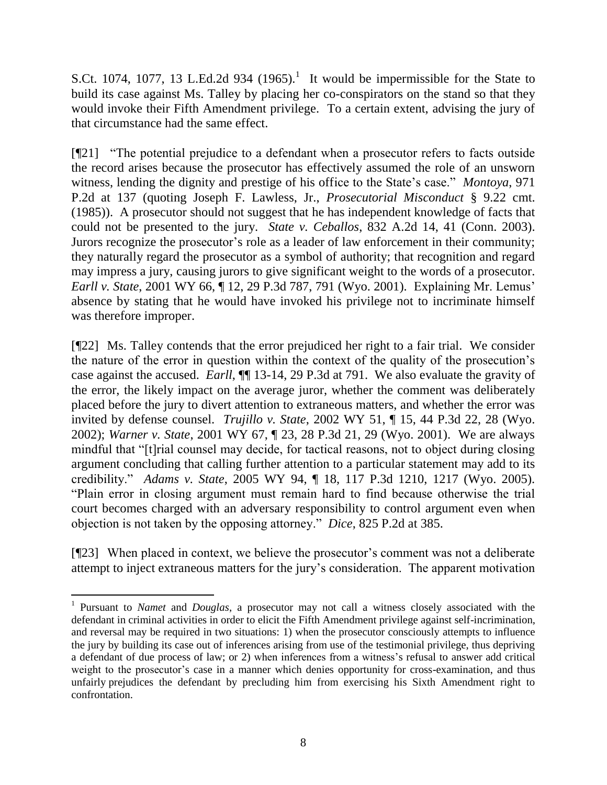S.Ct. 1074, 1077, 13 L.Ed.2d 934  $(1965)$ .<sup>1</sup> It would be impermissible for the State to build its case against Ms. Talley by placing her co-conspirators on the stand so that they would invoke their Fifth Amendment privilege. To a certain extent, advising the jury of that circumstance had the same effect.

[¶21] "The potential prejudice to a defendant when a prosecutor refers to facts outside the record arises because the prosecutor has effectively assumed the role of an unsworn witness, lending the dignity and prestige of his office to the State's case." *Montoya*, 971 P.2d at 137 (quoting Joseph F. Lawless, Jr., *Prosecutorial Misconduct* § 9.22 cmt. (1985)). A prosecutor should not suggest that he has independent knowledge of facts that could not be presented to the jury. *State v. Ceballos*, 832 A.2d 14, 41 (Conn. 2003). Jurors recognize the prosecutor's role as a leader of law enforcement in their community; they naturally regard the prosecutor as a symbol of authority; that recognition and regard may impress a jury, causing jurors to give significant weight to the words of a prosecutor. *Earll v. State*, 2001 WY 66, ¶ 12, 29 P.3d 787, 791 (Wyo. 2001). Explaining Mr. Lemus' absence by stating that he would have invoked his privilege not to incriminate himself was therefore improper.

[¶22] Ms. Talley contends that the error prejudiced her right to a fair trial. We consider the nature of the error in question within the context of the quality of the prosecution's case against the accused. *Earll*, ¶¶ 13-14, 29 P.3d at 791. We also evaluate the gravity of the error, the likely impact on the average juror, whether the comment was deliberately placed before the jury to divert attention to extraneous matters, and whether the error was invited by defense counsel. *Trujillo v. State*, 2002 WY 51, ¶ 15, 44 P.3d 22, 28 (Wyo. 2002); *Warner v. State*, 2001 WY 67, ¶ 23, 28 P.3d 21, 29 (Wyo. 2001). We are always mindful that "[t]rial counsel may decide, for tactical reasons, not to object during closing argument concluding that calling further attention to a particular statement may add to its credibility." *Adams v. State*, 2005 WY 94, ¶ 18, 117 P.3d 1210, 1217 (Wyo. 2005). "Plain error in closing argument must remain hard to find because otherwise the trial court becomes charged with an adversary responsibility to control argument even when objection is not taken by the opposing attorney." *Dice*, 825 P.2d at 385.

[¶23] When placed in context, we believe the prosecutor's comment was not a deliberate attempt to inject extraneous matters for the jury's consideration. The apparent motivation

 $\overline{a}$ 

<sup>&</sup>lt;sup>1</sup> Pursuant to *Namet* and *Douglas*, a prosecutor may not call a witness closely associated with the defendant in criminal activities in order to elicit the Fifth Amendment privilege against self-incrimination, and reversal may be required in two situations: 1) when the prosecutor consciously attempts to influence the jury by building its case out of inferences arising from use of the testimonial privilege, thus depriving a defendant of due process of law; or 2) when inferences from a witness's refusal to answer add critical weight to the prosecutor's case in a manner which denies opportunity for cross-examination, and thus unfairly prejudices the defendant by precluding him from exercising his Sixth Amendment right to confrontation.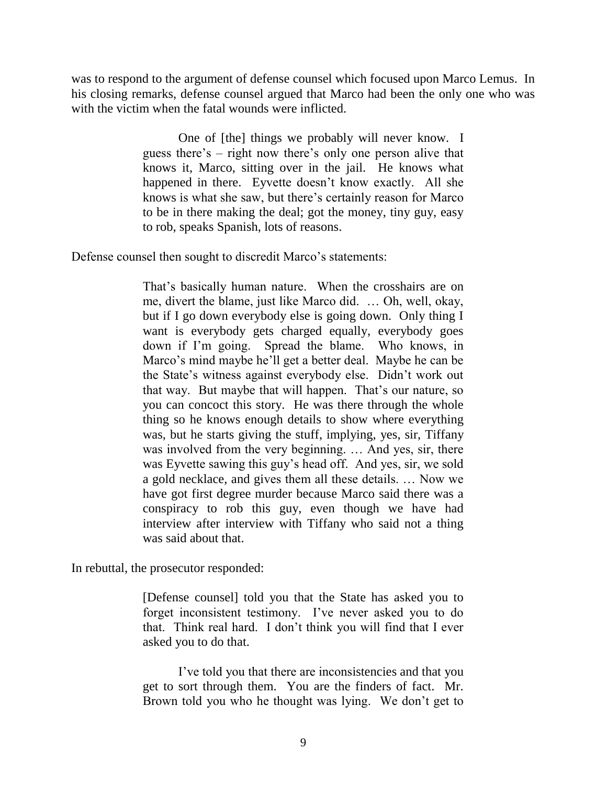was to respond to the argument of defense counsel which focused upon Marco Lemus. In his closing remarks, defense counsel argued that Marco had been the only one who was with the victim when the fatal wounds were inflicted.

> One of [the] things we probably will never know. I guess there's – right now there's only one person alive that knows it, Marco, sitting over in the jail. He knows what happened in there. Eyvette doesn't know exactly. All she knows is what she saw, but there's certainly reason for Marco to be in there making the deal; got the money, tiny guy, easy to rob, speaks Spanish, lots of reasons.

Defense counsel then sought to discredit Marco's statements:

That's basically human nature. When the crosshairs are on me, divert the blame, just like Marco did. … Oh, well, okay, but if I go down everybody else is going down. Only thing I want is everybody gets charged equally, everybody goes down if I'm going. Spread the blame. Who knows, in Marco's mind maybe he'll get a better deal. Maybe he can be the State's witness against everybody else. Didn't work out that way. But maybe that will happen. That's our nature, so you can concoct this story. He was there through the whole thing so he knows enough details to show where everything was, but he starts giving the stuff, implying, yes, sir, Tiffany was involved from the very beginning. … And yes, sir, there was Eyvette sawing this guy's head off. And yes, sir, we sold a gold necklace, and gives them all these details. … Now we have got first degree murder because Marco said there was a conspiracy to rob this guy, even though we have had interview after interview with Tiffany who said not a thing was said about that.

In rebuttal, the prosecutor responded:

[Defense counsel] told you that the State has asked you to forget inconsistent testimony. I've never asked you to do that. Think real hard. I don't think you will find that I ever asked you to do that.

I've told you that there are inconsistencies and that you get to sort through them. You are the finders of fact. Mr. Brown told you who he thought was lying. We don't get to